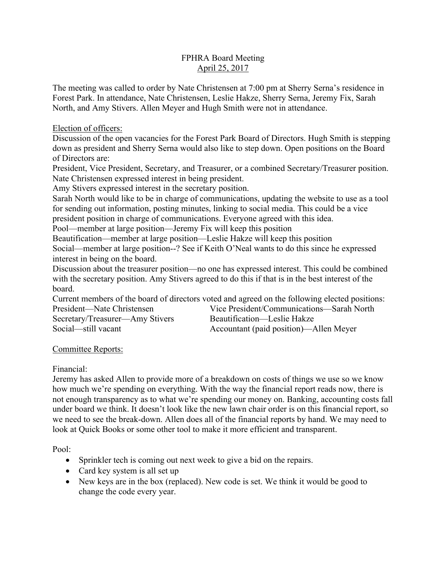## FPHRA Board Meeting April 25, 2017

The meeting was called to order by Nate Christensen at 7:00 pm at Sherry Serna's residence in Forest Park. In attendance, Nate Christensen, Leslie Hakze, Sherry Serna, Jeremy Fix, Sarah North, and Amy Stivers. Allen Meyer and Hugh Smith were not in attendance.

Election of officers:

Discussion of the open vacancies for the Forest Park Board of Directors. Hugh Smith is stepping down as president and Sherry Serna would also like to step down. Open positions on the Board of Directors are:

President, Vice President, Secretary, and Treasurer, or a combined Secretary/Treasurer position. Nate Christensen expressed interest in being president.

Amy Stivers expressed interest in the secretary position.

Sarah North would like to be in charge of communications, updating the website to use as a tool for sending out information, posting minutes, linking to social media. This could be a vice president position in charge of communications. Everyone agreed with this idea.

Pool—member at large position—Jeremy Fix will keep this position

Beautification—member at large position—Leslie Hakze will keep this position

Social—member at large position--? See if Keith O'Neal wants to do this since he expressed interest in being on the board.

Discussion about the treasurer position—no one has expressed interest. This could be combined with the secretary position. Amy Stivers agreed to do this if that is in the best interest of the board.

Current members of the board of directors voted and agreed on the following elected positions:

President—Nate Christensen Vice President/Communications—Sarah North Secretary/Treasurer—Amy Stivers<br>Social—still vacant<br>Accountant (paid position)—A

Accountant (paid position)—Allen Meyer

## Committee Reports:

Financial:

Jeremy has asked Allen to provide more of a breakdown on costs of things we use so we know how much we're spending on everything. With the way the financial report reads now, there is not enough transparency as to what we're spending our money on. Banking, accounting costs fall under board we think. It doesn't look like the new lawn chair order is on this financial report, so we need to see the break-down. Allen does all of the financial reports by hand. We may need to look at Quick Books or some other tool to make it more efficient and transparent.

Pool:

- Sprinkler tech is coming out next week to give a bid on the repairs.
- Card key system is all set up
- New keys are in the box (replaced). New code is set. We think it would be good to change the code every year.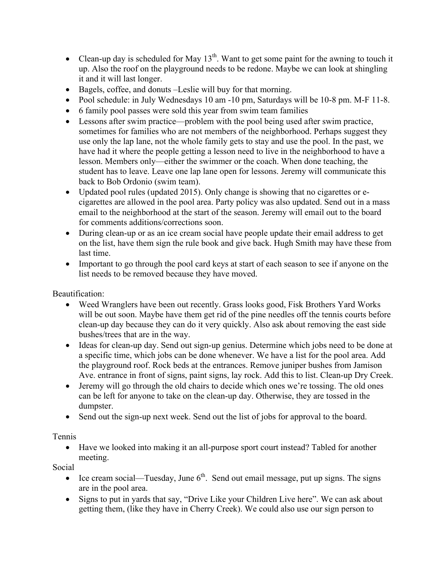- Clean-up day is scheduled for May  $13<sup>th</sup>$ . Want to get some paint for the awning to touch it up. Also the roof on the playground needs to be redone. Maybe we can look at shingling it and it will last longer.
- Bagels, coffee, and donuts –Leslie will buy for that morning.
- Pool schedule: in July Wednesdays 10 am -10 pm, Saturdays will be 10-8 pm. M-F 11-8.
- 6 family pool passes were sold this year from swim team families
- Lessons after swim practice—problem with the pool being used after swim practice, sometimes for families who are not members of the neighborhood. Perhaps suggest they use only the lap lane, not the whole family gets to stay and use the pool. In the past, we have had it where the people getting a lesson need to live in the neighborhood to have a lesson. Members only—either the swimmer or the coach. When done teaching, the student has to leave. Leave one lap lane open for lessons. Jeremy will communicate this back to Bob Ordonio (swim team).
- Updated pool rules (updated 2015). Only change is showing that no cigarettes or ecigarettes are allowed in the pool area. Party policy was also updated. Send out in a mass email to the neighborhood at the start of the season. Jeremy will email out to the board for comments additions/corrections soon.
- During clean-up or as an ice cream social have people update their email address to get on the list, have them sign the rule book and give back. Hugh Smith may have these from last time.
- Important to go through the pool card keys at start of each season to see if anyone on the list needs to be removed because they have moved.

Beautification:

- Weed Wranglers have been out recently. Grass looks good, Fisk Brothers Yard Works will be out soon. Maybe have them get rid of the pine needles off the tennis courts before clean-up day because they can do it very quickly. Also ask about removing the east side bushes/trees that are in the way.
- Ideas for clean-up day. Send out sign-up genius. Determine which jobs need to be done at a specific time, which jobs can be done whenever. We have a list for the pool area. Add the playground roof. Rock beds at the entrances. Remove juniper bushes from Jamison Ave. entrance in front of signs, paint signs, lay rock. Add this to list. Clean-up Dry Creek.
- Jeremy will go through the old chairs to decide which ones we're tossing. The old ones can be left for anyone to take on the clean-up day. Otherwise, they are tossed in the dumpster.
- Send out the sign-up next week. Send out the list of jobs for approval to the board.

Tennis

• Have we looked into making it an all-purpose sport court instead? Tabled for another meeting.

Social

- Ice cream social—Tuesday, June  $6<sup>th</sup>$ . Send out email message, put up signs. The signs are in the pool area.
- Signs to put in yards that say, "Drive Like your Children Live here". We can ask about getting them, (like they have in Cherry Creek). We could also use our sign person to